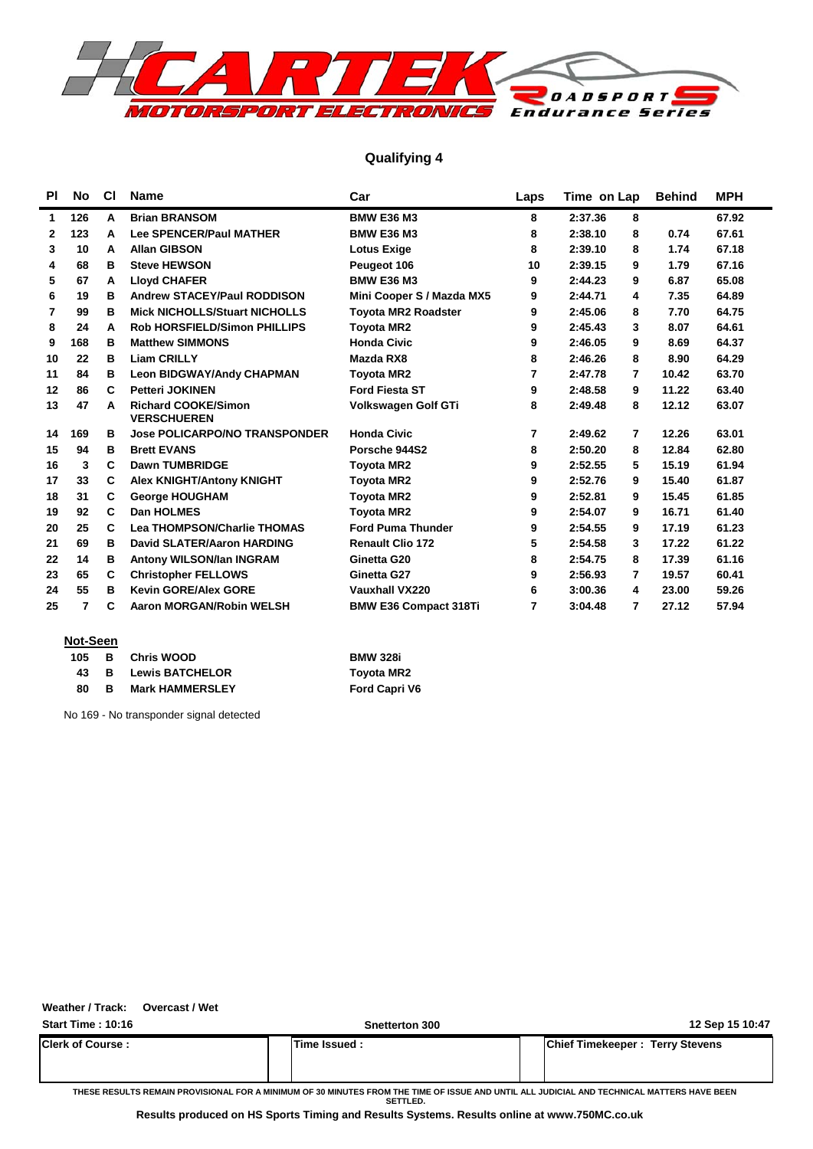

### **Qualifying 4**

| <b>PI</b> | No  | <b>CI</b> | <b>Name</b>                                      | Car                          | Laps | Time on Lap  | <b>Behind</b> | <b>MPH</b> |
|-----------|-----|-----------|--------------------------------------------------|------------------------------|------|--------------|---------------|------------|
| 1         | 126 | A         | <b>Brian BRANSOM</b>                             | <b>BMW E36 M3</b>            | 8    | 2:37.36<br>8 |               | 67.92      |
| 2         | 123 | A         | <b>Lee SPENCER/Paul MATHER</b>                   | <b>BMW E36 M3</b>            | 8    | 8<br>2:38.10 | 0.74          | 67.61      |
| 3         | 10  | A         | <b>Allan GIBSON</b>                              | <b>Lotus Exige</b>           | 8    | 2:39.10<br>8 | 1.74          | 67.18      |
| 4         | 68  | в         | <b>Steve HEWSON</b>                              | Peugeot 106                  | 10   | 2:39.15<br>9 | 1.79          | 67.16      |
| 5         | 67  | A         | <b>Lloyd CHAFER</b>                              | <b>BMW E36 M3</b>            | 9    | 9<br>2:44.23 | 6.87          | 65.08      |
| 6         | 19  | в         | <b>Andrew STACEY/Paul RODDISON</b>               | Mini Cooper S / Mazda MX5    | 9    | 2:44.71<br>4 | 7.35          | 64.89      |
| 7         | 99  | в         | <b>Mick NICHOLLS/Stuart NICHOLLS</b>             | <b>Toyota MR2 Roadster</b>   | 9    | 2:45.06<br>8 | 7.70          | 64.75      |
| 8         | 24  | A         | <b>Rob HORSFIELD/Simon PHILLIPS</b>              | <b>Toyota MR2</b>            | 9    | 2:45.43<br>3 | 8.07          | 64.61      |
| 9         | 168 | в         | <b>Matthew SIMMONS</b>                           | <b>Honda Civic</b>           | 9    | 2:46.05<br>9 | 8.69          | 64.37      |
| 10        | 22  | в         | <b>Liam CRILLY</b>                               | Mazda RX8                    | 8    | 8<br>2:46.26 | 8.90          | 64.29      |
| 11        | 84  | в         | <b>Leon BIDGWAY/Andy CHAPMAN</b>                 | <b>Toyota MR2</b>            | 7    | 2:47.78<br>7 | 10.42         | 63.70      |
| 12        | 86  | C         | <b>Petteri JOKINEN</b>                           | <b>Ford Fiesta ST</b>        | 9    | 2:48.58<br>9 | 11.22         | 63.40      |
| 13        | 47  | A         | <b>Richard COOKE/Simon</b><br><b>VERSCHUEREN</b> | Volkswagen Golf GTi          | 8    | 2:49.48<br>8 | 12.12         | 63.07      |
| 14        | 169 | в         | <b>Jose POLICARPO/NO TRANSPONDER</b>             | <b>Honda Civic</b>           | 7    | 2:49.62<br>7 | 12.26         | 63.01      |
| 15        | 94  | в         | <b>Brett EVANS</b>                               | Porsche 944S2                | 8    | 2:50.20<br>8 | 12.84         | 62.80      |
| 16        | 3   | C         | <b>Dawn TUMBRIDGE</b>                            | <b>Toyota MR2</b>            | 9    | 2:52.55<br>5 | 15.19         | 61.94      |
| 17        | 33  | C         | <b>Alex KNIGHT/Antony KNIGHT</b>                 | <b>Toyota MR2</b>            | 9    | 2:52.76<br>9 | 15.40         | 61.87      |
| 18        | 31  | C         | <b>George HOUGHAM</b>                            | <b>Toyota MR2</b>            | 9    | 2:52.81<br>9 | 15.45         | 61.85      |
| 19        | 92  | C         | Dan HOLMES                                       | <b>Toyota MR2</b>            | 9    | 2:54.07<br>9 | 16.71         | 61.40      |
| 20        | 25  | C         | <b>Lea THOMPSON/Charlie THOMAS</b>               | <b>Ford Puma Thunder</b>     | 9    | 2:54.55<br>9 | 17.19         | 61.23      |
| 21        | 69  | в         | <b>David SLATER/Aaron HARDING</b>                | <b>Renault Clio 172</b>      | 5    | 2:54.58<br>3 | 17.22         | 61.22      |
| 22        | 14  | в         | Antony WILSON/Ian INGRAM                         | Ginetta G20                  | 8    | 2:54.75<br>8 | 17.39         | 61.16      |
| 23        | 65  | С         | <b>Christopher FELLOWS</b>                       | Ginetta G27                  | 9    | 2:56.93<br>7 | 19.57         | 60.41      |
| 24        | 55  | в         | <b>Kevin GORE/Alex GORE</b>                      | <b>Vauxhall VX220</b>        | 6    | 3:00.36<br>4 | 23.00         | 59.26      |
| 25        | 7   | С         | <b>Aaron MORGAN/Robin WELSH</b>                  | <b>BMW E36 Compact 318Ti</b> | 7    | 7<br>3:04.48 | 27.12         | 57.94      |

#### **Not-Seen**

| 105 | — В   | <b>Chris WOOD</b>      | <b>BMW 328i</b>      |
|-----|-------|------------------------|----------------------|
| 43. | — в н | <b>Lewis BATCHELOR</b> | <b>Toyota MR2</b>    |
| 80  | в     | <b>Mark HAMMERSLEY</b> | <b>Ford Capri V6</b> |

No 169 - No transponder signal detected

#### **Weather / Track: Overcast / Wet**

| <b>Start Time: 10:16</b> | Snetterton 300      | 12 Sep 15 10:47                        |
|--------------------------|---------------------|----------------------------------------|
| <b>Clerk of Course:</b>  | <b>Time Issued:</b> | <b>Chief Timekeeper: Terry Stevens</b> |

**THESE RESULTS REMAIN PROVISIONAL FOR A MINIMUM OF 30 MINUTES FROM THE TIME OF ISSUE AND UNTIL ALL JUDICIAL AND TECHNICAL MATTERS HAVE BEEN SETTLED.**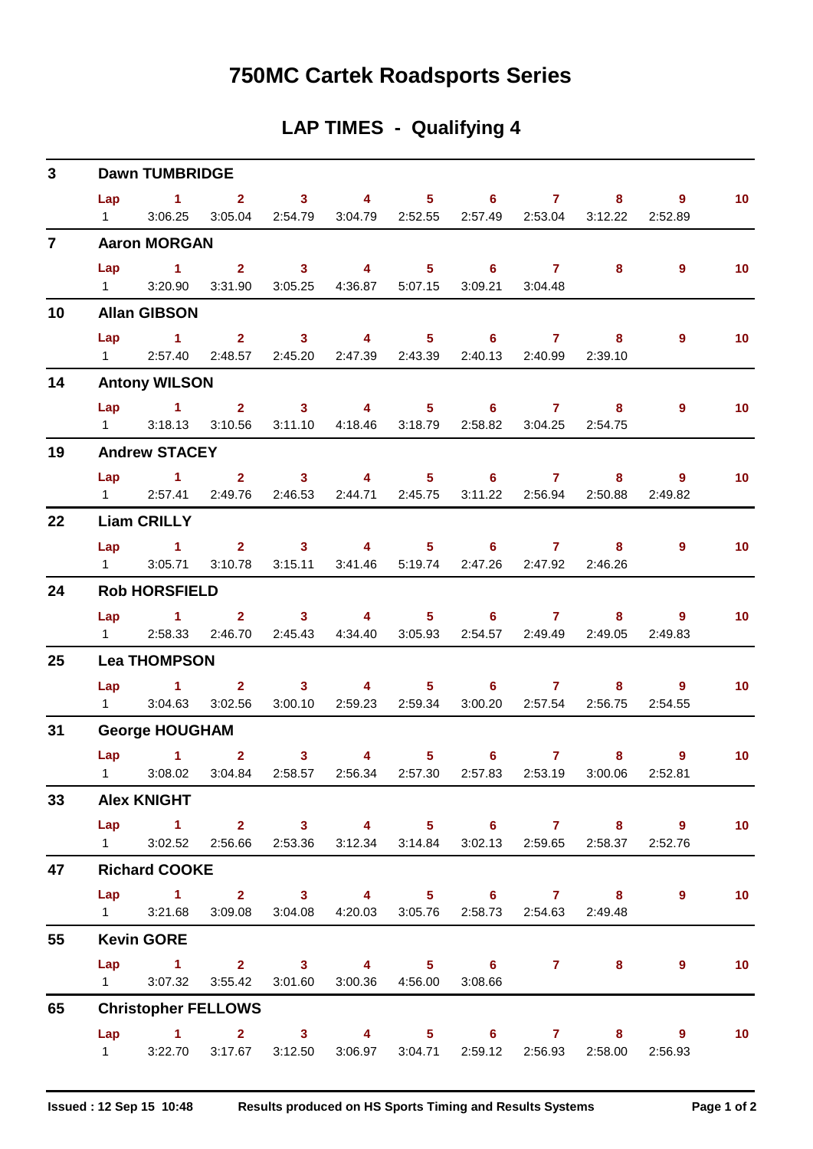# **750MC Cartek Roadsports Series**

## **LAP TIMES - Qualifying 4**

| 3 <sup>1</sup>  |                | <b>Dawn TUMBRIDGE</b>                                                     |  |                                                                         |  |  |                                                                           |                 |
|-----------------|----------------|---------------------------------------------------------------------------|--|-------------------------------------------------------------------------|--|--|---------------------------------------------------------------------------|-----------------|
|                 |                | Lap 1 2 3 4 5 6 7 8 9                                                     |  |                                                                         |  |  |                                                                           | 10 <sub>1</sub> |
|                 | $1 \quad \Box$ |                                                                           |  | 3:06.25 3:05.04 2:54.79 3:04.79 2:52.55 2:57.49 2:53.04 3:12.22 2:52.89 |  |  |                                                                           |                 |
| $\overline{7}$  |                | <b>Aaron MORGAN</b>                                                       |  |                                                                         |  |  |                                                                           |                 |
|                 |                | Lap 1 2 3 4 5 6 7 8                                                       |  |                                                                         |  |  | 9                                                                         | 10 <sup>°</sup> |
|                 |                | 1 3:20.90 3:31.90 3:05.25 4:36.87 5:07.15 3:09.21 3:04.48                 |  |                                                                         |  |  |                                                                           |                 |
| 10              |                | <b>Allan GIBSON</b>                                                       |  |                                                                         |  |  |                                                                           |                 |
|                 | Lap            | 1 2 3 4 5 6 7 8                                                           |  |                                                                         |  |  | $9^{\circ}$                                                               | 10 <sup>°</sup> |
|                 |                | 1 2:57.40 2:48.57 2:45.20 2:47.39 2:43.39 2:40.13 2:40.99 2:39.10         |  |                                                                         |  |  |                                                                           |                 |
| 14              |                | <b>Antony WILSON</b>                                                      |  |                                                                         |  |  |                                                                           |                 |
|                 |                | Lap 1 2 3 4 5 6 7 8                                                       |  |                                                                         |  |  | 9                                                                         | 10 <sub>1</sub> |
|                 |                | 1 3:18.13 3:10.56 3:11.10 4:18.46 3:18.79 2:58.82 3:04.25 2:54.75         |  |                                                                         |  |  |                                                                           |                 |
| 19              |                | <b>Andrew STACEY</b>                                                      |  |                                                                         |  |  |                                                                           |                 |
|                 |                | Lap 1 2 3 4 5 6 7 8 9                                                     |  |                                                                         |  |  |                                                                           | 10 <sub>1</sub> |
|                 |                | 1 2:57.41 2:49.76 2:46.53 2:44.71 2:45.75 3:11.22 2:56.94 2:50.88 2:49.82 |  |                                                                         |  |  |                                                                           |                 |
| 22              |                | <b>Liam CRILLY</b>                                                        |  |                                                                         |  |  |                                                                           |                 |
|                 |                | Lap 1 2 3 4 5 6 7                                                         |  |                                                                         |  |  | $8$ 9                                                                     | 10 <sup>°</sup> |
|                 |                | 1 3:05.71 3:10.78 3:15.11 3:41.46 5:19.74 2:47.26 2:47.92 2:46.26         |  |                                                                         |  |  |                                                                           |                 |
| 24              |                | <b>Rob HORSFIELD</b>                                                      |  |                                                                         |  |  |                                                                           |                 |
|                 |                | Lap 1 2 3 4 5 6 7 8                                                       |  |                                                                         |  |  | 9                                                                         | 10              |
|                 |                | 1 2:58.33 2:46.70 2:45.43 4:34.40 3:05.93 2:54.57 2:49.49 2:49.05 2:49.83 |  |                                                                         |  |  |                                                                           |                 |
| 25              |                | <b>Lea THOMPSON</b>                                                       |  |                                                                         |  |  |                                                                           |                 |
|                 |                | Lap 1 2 3 4 5 6 7                                                         |  |                                                                         |  |  | 8 9                                                                       | 10 <sub>1</sub> |
|                 |                | 1 3:04.63 3:02.56 3:00.10 2:59.23 2:59.34 3:00.20 2:57.54 2:56.75         |  |                                                                         |  |  | 2:54.55                                                                   |                 |
| 31              |                | <b>George HOUGHAM</b>                                                     |  |                                                                         |  |  |                                                                           |                 |
|                 |                | Lap 1 2 3 4 5 6 7                                                         |  |                                                                         |  |  | 8 9                                                                       | $\sim$ 10       |
|                 |                |                                                                           |  |                                                                         |  |  | 1 3:08.02 3:04.84 2:58.57 2:56.34 2:57.30 2:57.83 2:53.19 3:00.06 2:52.81 |                 |
| 33 <sub>o</sub> |                | <b>Alex KNIGHT</b>                                                        |  |                                                                         |  |  |                                                                           |                 |
|                 |                |                                                                           |  |                                                                         |  |  | Lap 1 2 3 4 5 6 7 8 9                                                     | 10              |
|                 |                | 1 3:02.52 2:56.66 2:53.36 3:12.34 3:14.84 3:02.13 2:59.65 2:58.37 2:52.76 |  |                                                                         |  |  |                                                                           |                 |
| 47              |                | <b>Richard COOKE</b>                                                      |  |                                                                         |  |  |                                                                           |                 |
|                 |                | Lap 1 2 3 4 5 6 7 8                                                       |  |                                                                         |  |  | 9                                                                         | 10              |
|                 |                | 1 3:21.68 3:09.08 3:04.08 4:20.03 3:05.76 2:58.73 2:54.63 2:49.48         |  |                                                                         |  |  |                                                                           |                 |
| 55              |                | <b>Kevin GORE</b>                                                         |  |                                                                         |  |  |                                                                           |                 |
|                 |                | Lap 1 2 3 4 5 6 7 8                                                       |  |                                                                         |  |  | $9^{\circ}$                                                               | 10              |
|                 |                | 1 3:07.32 3:55.42 3:01.60 3:00.36 4:56.00 3:08.66                         |  |                                                                         |  |  |                                                                           |                 |
| 65              |                | <b>Christopher FELLOWS</b>                                                |  |                                                                         |  |  |                                                                           |                 |
|                 |                | Lap 1 2 3 4 5 6 7 8 9                                                     |  |                                                                         |  |  |                                                                           | 10              |
|                 |                | 1 3:22.70 3:17.67 3:12.50 3:06.97 3:04.71 2:59.12 2:56.93 2:58.00 2:56.93 |  |                                                                         |  |  |                                                                           |                 |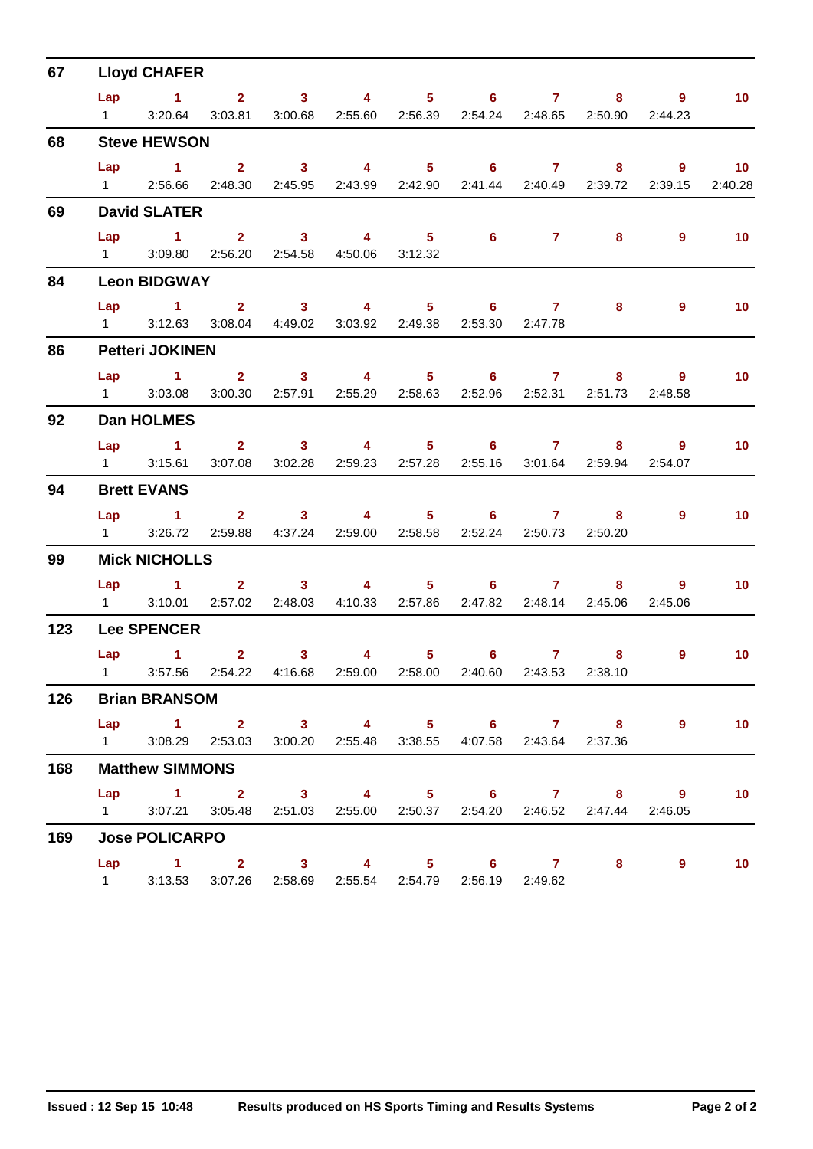| 67  |     | <b>Lloyd CHAFER</b>                                                                              |               |  |                                                               |   |                     |                 |
|-----|-----|--------------------------------------------------------------------------------------------------|---------------|--|---------------------------------------------------------------|---|---------------------|-----------------|
|     |     | Lap 1 2 3 4 5 6 7                                                                                |               |  |                                                               |   | $8 \qquad \qquad 9$ | 10 <sub>1</sub> |
|     |     | 1 3:20.64 3:03.81 3:00.68 2:55.60 2:56.39 2:54.24 2:48.65 2:50.90                                |               |  |                                                               |   | 2:44.23             |                 |
| 68  |     | <b>Steve HEWSON</b>                                                                              |               |  |                                                               |   |                     |                 |
|     |     | Lap 1 2 3 4 5 6 7 8 9 10                                                                         |               |  |                                                               |   |                     |                 |
|     |     | 1 2:56.66 2:48.30 2:45.95 2:43.99 2:42.90 2:41.44 2:40.49 2:39.72 2:39.15                        |               |  |                                                               |   |                     | 2:40.28         |
| 69  |     | <b>David SLATER</b>                                                                              |               |  |                                                               |   |                     |                 |
|     | Lap | 1 2 3 4 5 6 7<br>1 3:09.80 2:56.20 2:54.58 4:50.06 3:12.32                                       |               |  |                                                               | 8 | $\overline{9}$      | $\sim$ 10       |
|     |     |                                                                                                  |               |  |                                                               |   |                     |                 |
| 84  |     | <b>Leon BIDGWAY</b>                                                                              |               |  |                                                               |   |                     |                 |
|     |     | Lap 1 2 3 4 5 6 7 8<br>1 3:12.63 3:08.04 4:49.02 3:03.92 2:49.38 2:53.30 2:47.78                 |               |  |                                                               |   | $\overline{9}$      | 10 <sub>1</sub> |
| 86  |     | <b>Petteri JOKINEN</b>                                                                           |               |  |                                                               |   |                     |                 |
|     |     | Lap 1 2 3 4 5 6 7                                                                                |               |  |                                                               |   | 8 9                 | 10 <sub>1</sub> |
|     |     | 1 3:03.08                                                                                        |               |  | 3:00.30  2:57.91  2:55.29  2:58.63  2:52.96  2:52.31  2:51.73 |   | 2:48.58             |                 |
| 92  |     | <b>Dan HOLMES</b>                                                                                |               |  |                                                               |   |                     |                 |
|     |     | Lap 1 2 3 4 5 6 7 8 9                                                                            |               |  |                                                               |   |                     | 10 <sub>1</sub> |
|     |     | 1 3:15.61 3:07.08 3:02.28 2:59.23 2:57.28 2:55.16 3:01.64 2:59.94                                |               |  |                                                               |   | 2:54.07             |                 |
| 94  |     | <b>Brett EVANS</b>                                                                               |               |  |                                                               |   |                     |                 |
|     |     | Lap 1 2 3 4 5 6 7 8                                                                              |               |  |                                                               |   | $9^{\circ}$         | 10 <sub>1</sub> |
|     |     | 1 3:26.72 2:59.88 4:37.24 2:59.00 2:58.58 2:52.24 2:50.73 2:50.20                                |               |  |                                                               |   |                     |                 |
| 99  |     | <b>Mick NICHOLLS</b>                                                                             |               |  |                                                               |   |                     |                 |
|     |     | Lap 1 2 3 4 5 6 7 8<br>1 3:10.01 2:57.02 2:48.03 4:10.33 2:57.86 2:47.82 2:48.14 2:45.06 2:45.06 |               |  |                                                               |   | $\overline{9}$      | 10 <sub>1</sub> |
|     |     |                                                                                                  |               |  |                                                               |   |                     |                 |
| 123 |     | <b>Lee SPENCER</b>                                                                               |               |  |                                                               |   |                     |                 |
|     |     | $Lap$ 1<br>1 3:57.56 2:54.22 4:16.68 2:59.00 2:58.00 2:40.60 2:43.53 2:38.10                     | $2 \t 3 \t 4$ |  | $5 \t\t 6 \t\t 7$                                             |   | $\overline{9}$      | 10 <sup>°</sup> |
| 126 |     | <b>Brian BRANSOM</b>                                                                             |               |  |                                                               |   |                     |                 |
|     |     | Lap 1 2 3 4 5 6 7 8                                                                              |               |  |                                                               |   | $\overline{9}$      | 10 <sub>1</sub> |
|     |     | 1 3:08.29 2:53.03 3:00.20 2:55.48 3:38.55 4:07.58 2:43.64 2:37.36                                |               |  |                                                               |   |                     |                 |
| 168 |     | <b>Matthew SIMMONS</b>                                                                           |               |  |                                                               |   |                     |                 |
|     |     | Lap 1 2 3 4 5 6 7 8 9                                                                            |               |  |                                                               |   |                     | 10 <sub>1</sub> |
|     |     | 1 3:07.21 3:05.48 2:51.03 2:55.00 2:50.37 2:54.20 2:46.52 2:47.44 2:46.05                        |               |  |                                                               |   |                     |                 |
| 169 |     | <b>Jose POLICARPO</b>                                                                            |               |  |                                                               |   |                     |                 |
|     |     | Lap 1 2 3 4 5 6 7 8                                                                              |               |  |                                                               |   | $9^{\circ}$         | 10              |
|     |     | 1 3:13.53 3:07.26 2:58.69 2:55.54 2:54.79 2:56.19 2:49.62                                        |               |  |                                                               |   |                     |                 |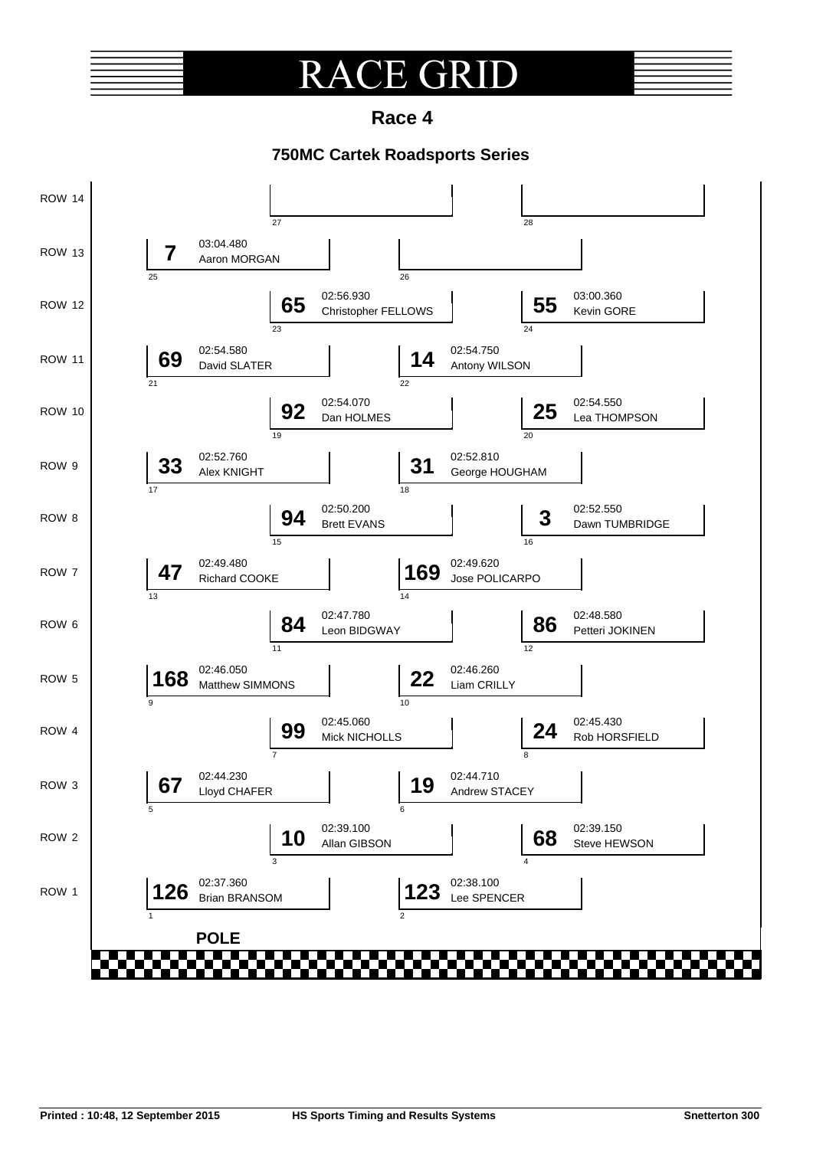#### $\overline{A}$ **E GRI** R

**Race 4**

### **750MC Cartek Roadsports Series**

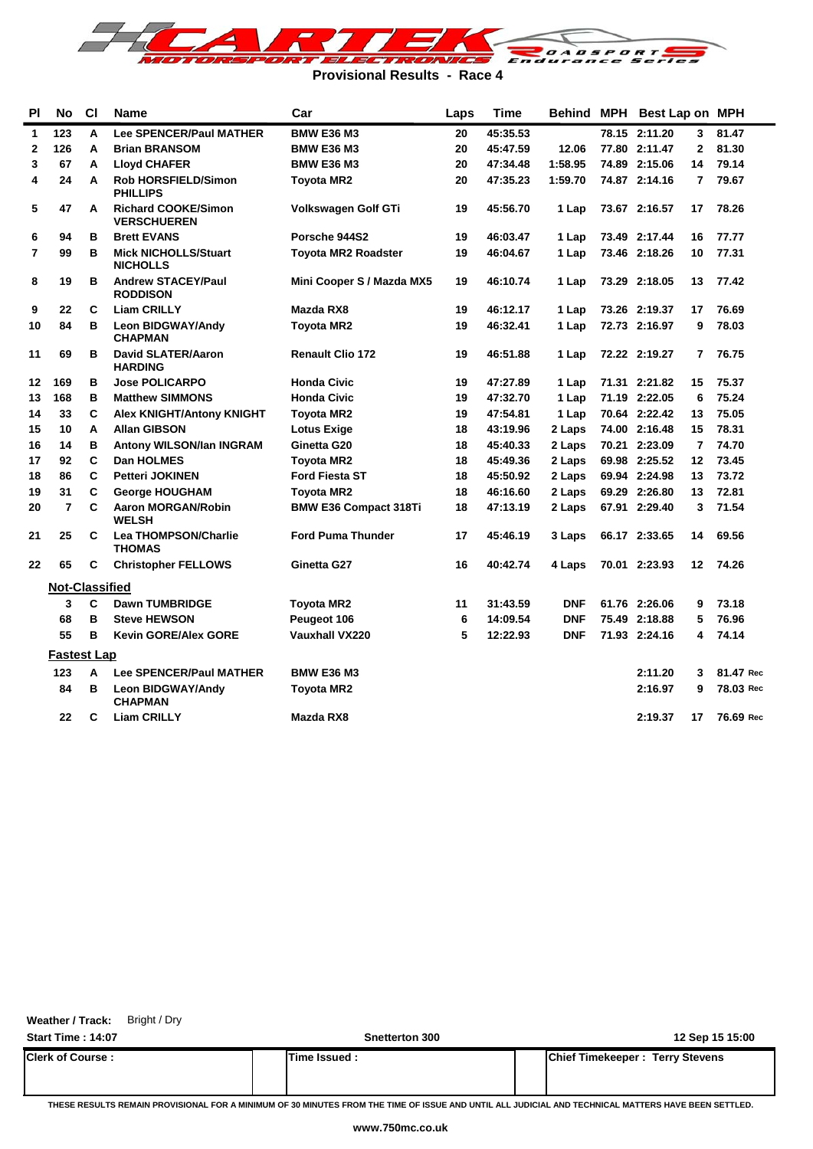

**Provisional Results - Race 4**

| <b>PI</b>      | No                    | C1 | <b>Name</b>                                      | Car                          | Laps | Time     |            | Behind MPH Best Lap on MPH |              |           |
|----------------|-----------------------|----|--------------------------------------------------|------------------------------|------|----------|------------|----------------------------|--------------|-----------|
| 1              | 123                   | A  | <b>Lee SPENCER/Paul MATHER</b>                   | <b>BMW E36 M3</b>            | 20   | 45:35.53 |            | 78.15 2:11.20              | 3            | 81.47     |
| $\mathbf 2$    | 126                   | A  | <b>Brian BRANSOM</b>                             | <b>BMW E36 M3</b>            | 20   | 45:47.59 | 12.06      | 77.80 2:11.47              | $\mathbf{2}$ | 81.30     |
| 3              | 67                    | A  | <b>Lloyd CHAFER</b>                              | <b>BMW E36 M3</b>            | 20   | 47:34.48 | 1:58.95    | 74.89 2:15.06              | 14           | 79.14     |
| 4              | 24                    | A  | <b>Rob HORSFIELD/Simon</b><br><b>PHILLIPS</b>    | Toyota MR2                   | 20   | 47:35.23 | 1:59.70    | 74.87 2:14.16              | 7            | 79.67     |
| 5              | 47                    | A  | <b>Richard COOKE/Simon</b><br><b>VERSCHUEREN</b> | Volkswagen Golf GTi          | 19   | 45:56.70 | 1 Lap      | 73.67 2:16.57              | 17           | 78.26     |
| 6              | 94                    | в  | <b>Brett EVANS</b>                               | Porsche 944S2                | 19   | 46:03.47 | 1 Lap      | 73.49 2:17.44              | 16           | 77.77     |
| $\overline{7}$ | 99                    | в  | <b>Mick NICHOLLS/Stuart</b><br><b>NICHOLLS</b>   | <b>Toyota MR2 Roadster</b>   | 19   | 46:04.67 | 1 Lap      | 73.46 2:18.26              | 10           | 77.31     |
| 8              | 19                    | в  | <b>Andrew STACEY/Paul</b><br><b>RODDISON</b>     | Mini Cooper S / Mazda MX5    | 19   | 46:10.74 | 1 Lap      | 73.29 2:18.05              | 13           | 77.42     |
| 9              | 22                    | C  | <b>Liam CRILLY</b>                               | Mazda RX8                    | 19   | 46:12.17 | 1 Lap      | 73.26 2:19.37              | 17           | 76.69     |
| 10             | 84                    | в  | <b>Leon BIDGWAY/Andy</b><br><b>CHAPMAN</b>       | <b>Toyota MR2</b>            | 19   | 46:32.41 | 1 Lap      | 72.73 2:16.97              | 9            | 78.03     |
| 11             | 69                    | в  | <b>David SLATER/Aaron</b><br><b>HARDING</b>      | <b>Renault Clio 172</b>      | 19   | 46:51.88 | 1 Lap      | 72.22 2:19.27              | 7            | 76.75     |
| 12             | 169                   | в  | <b>Jose POLICARPO</b>                            | <b>Honda Civic</b>           | 19   | 47:27.89 | 1 Lap      | 71.31 2:21.82              | 15           | 75.37     |
| 13             | 168                   | в  | <b>Matthew SIMMONS</b>                           | <b>Honda Civic</b>           | 19   | 47:32.70 | 1 Lap      | 71.19 2:22.05              | 6            | 75.24     |
| 14             | 33                    | C  | <b>Alex KNIGHT/Antony KNIGHT</b>                 | <b>Toyota MR2</b>            | 19   | 47:54.81 | 1 Lap      | 70.64 2:22.42              | 13           | 75.05     |
| 15             | 10                    | A  | <b>Allan GIBSON</b>                              | <b>Lotus Exige</b>           | 18   | 43:19.96 | 2 Laps     | 74.00 2:16.48              | 15           | 78.31     |
| 16             | 14                    | в  | <b>Antony WILSON/Ian INGRAM</b>                  | Ginetta G20                  | 18   | 45:40.33 | 2 Laps     | 70.21 2:23.09              | 7            | 74.70     |
| 17             | 92                    | C  | Dan HOLMES                                       | <b>Toyota MR2</b>            | 18   | 45:49.36 | 2 Laps     | 69.98 2:25.52              | 12           | 73.45     |
| 18             | 86                    | C  | <b>Petteri JOKINEN</b>                           | <b>Ford Fiesta ST</b>        | 18   | 45:50.92 | 2 Laps     | 69.94 2:24.98              | 13           | 73.72     |
| 19             | 31                    | C  | <b>George HOUGHAM</b>                            | Toyota MR2                   | 18   | 46:16.60 | 2 Laps     | 69.29 2:26.80              | 13           | 72.81     |
| 20             | $\overline{7}$        | C  | <b>Aaron MORGAN/Robin</b><br><b>WELSH</b>        | <b>BMW E36 Compact 318Ti</b> | 18   | 47:13.19 | 2 Laps     | 67.91 2:29.40              | 3            | 71.54     |
| 21             | 25                    | C  | Lea THOMPSON/Charlie<br><b>THOMAS</b>            | <b>Ford Puma Thunder</b>     | 17   | 45:46.19 | 3 Laps     | 66.17 2:33.65              | 14           | 69.56     |
| 22             | 65                    | C  | <b>Christopher FELLOWS</b>                       | Ginetta G27                  | 16   | 40:42.74 | 4 Laps     | 70.01 2:23.93              | 12           | 74.26     |
|                | <b>Not-Classified</b> |    |                                                  |                              |      |          |            |                            |              |           |
|                | 3                     | C  | <b>Dawn TUMBRIDGE</b>                            | Toyota MR2                   | 11   | 31:43.59 | <b>DNF</b> | 61.76 2:26.06              | 9            | 73.18     |
|                | 68                    | в  | <b>Steve HEWSON</b>                              | Peugeot 106                  | 6    | 14:09.54 | <b>DNF</b> | 75.49 2:18.88              | 5            | 76.96     |
|                | 55                    | в  | <b>Kevin GORE/Alex GORE</b>                      | <b>Vauxhall VX220</b>        | 5    | 12:22.93 | <b>DNF</b> | 71.93 2:24.16              | 4            | 74.14     |
|                | <b>Fastest Lap</b>    |    |                                                  |                              |      |          |            |                            |              |           |
|                | 123                   | A  | Lee SPENCER/Paul MATHER                          | <b>BMW E36 M3</b>            |      |          |            | 2:11.20                    | 3            | 81.47 Rec |
|                | 84                    | в  | <b>Leon BIDGWAY/Andy</b><br><b>CHAPMAN</b>       | <b>Toyota MR2</b>            |      |          |            | 2:16.97                    | 9            | 78.03 Rec |
|                | 22                    | C  | <b>Liam CRILLY</b>                               | Mazda RX8                    |      |          |            | 2:19.37                    | 17           | 76.69 Rec |

**Weather / Track:** Bright / Dry

**Start Time : 14:07 Snetterton 300 12 Sep 15 15:00 Clerk of Course : Time Issued : Chief Timekeeper : Terry Stevens**

**THESE RESULTS REMAIN PROVISIONAL FOR A MINIMUM OF 30 MINUTES FROM THE TIME OF ISSUE AND UNTIL ALL JUDICIAL AND TECHNICAL MATTERS HAVE BEEN SETTLED.**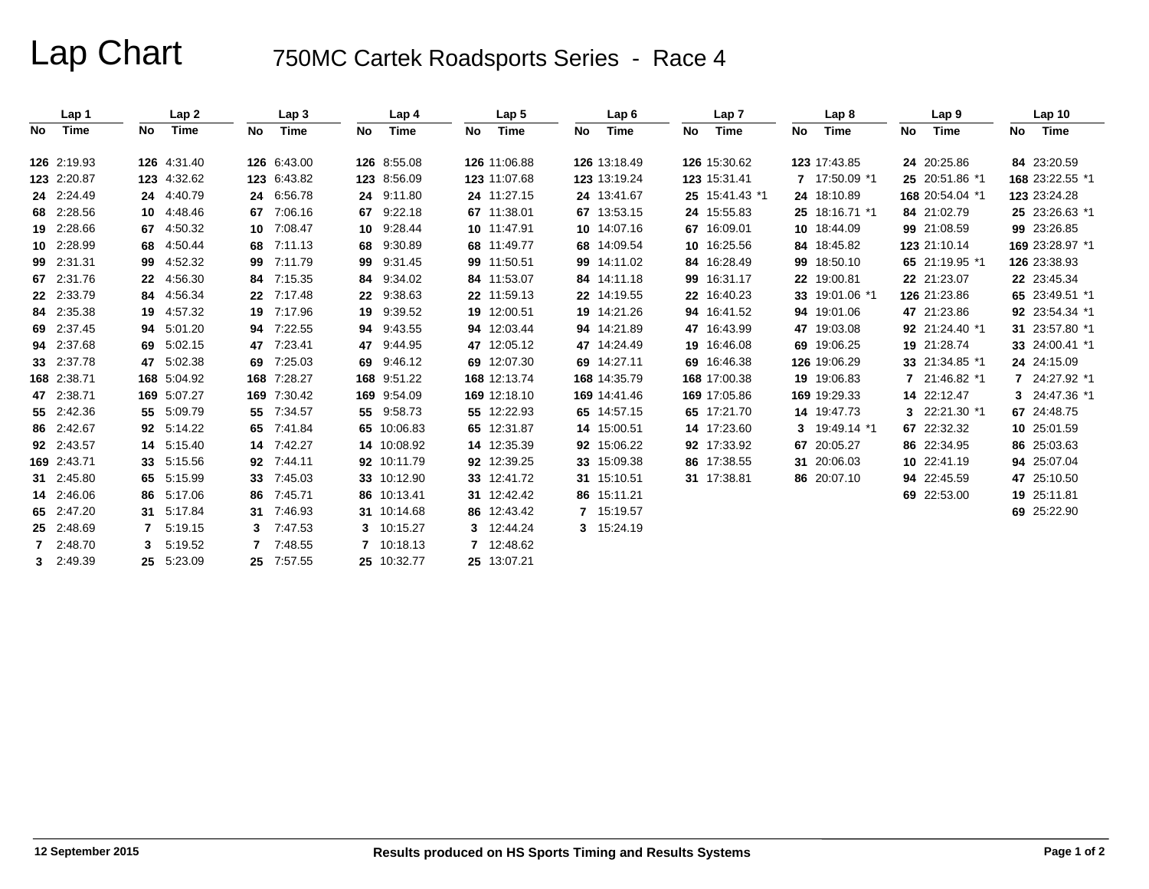# Lap Chart 750MC Cartek Roadsports Series - Race 4

|                | Lap 1       |    | Lap2        |    | Lap <sub>3</sub> |    | Lap 4       |    | Lap <sub>5</sub> |    | Lap6         |    | Lap <sub>7</sub> |    | Lap 8          |    | Lap <sub>9</sub> |    | Lap <sub>10</sub> |
|----------------|-------------|----|-------------|----|------------------|----|-------------|----|------------------|----|--------------|----|------------------|----|----------------|----|------------------|----|-------------------|
| No             | Time        | No | Time        | No | Time             | No | Time        | No | Time             | No | Time         | No | Time             | No | Time           | No | Time             | No | Time              |
|                | 126 2:19.93 |    | 126 4:31.40 |    | 126 6:43.00      |    | 126 8:55.08 |    | 126 11:06.88     |    | 126 13:18.49 |    | 126 15:30.62     |    | 123 17:43.85   |    | 24 20:25.86      |    | 84 23:20.59       |
|                | 123 2:20.87 |    | 123 4:32.62 |    | 123 6:43.82      |    | 123 8:56.09 |    | 123 11:07.68     |    | 123 13:19.24 |    | 123 15:31.41     |    | 7 17:50.09 *1  |    | 25 20:51.86 *1   |    | 168 23:22.55 *1   |
|                | 24 2:24.49  |    | 24 4:40.79  |    | 24 6:56.78       | 24 | 9:11.80     |    | 24 11:27.15      |    | 24 13:41.67  |    | 25 15:41.43 *1   |    | 24 18:10.89    |    | 168 20:54.04 *1  |    | 123 23:24.28      |
|                | 68 2:28.56  |    | 10 4:48.46  | 67 | 7:06.16          |    | 67 9:22.18  |    | 67 11:38.01      |    | 67 13:53.15  |    | 24 15:55.83      |    | 25 18:16.71 *1 |    | 84 21:02.79      |    | 25 23:26.63 *1    |
|                | 19 2:28.66  |    | 67 4:50.32  | 10 | 7:08.47          | 10 | 9:28.44     |    | 10 11:47.91      |    | 10 14:07.16  |    | 67 16:09.01      |    | 10 18:44.09    |    | 99 21:08.59      |    | 99 23:26.85       |
|                | 10 2:28.99  |    | 68 4:50.44  | 68 | 7:11.13          | 68 | 9:30.89     |    | 68 11:49.77      |    | 68 14:09.54  |    | 10 16:25.56      |    | 84 18:45.82    |    | 123 21:10.14     |    | 169 23:28.97 *1   |
|                | 99 2:31.31  |    | 99 4:52.32  | 99 | 7:11.79          | 99 | 9:31.45     |    | 99 11:50.51      |    | 99 14:11.02  |    | 84 16:28.49      |    | 99 18:50.10    |    | 65 21:19.95 *1   |    | 126 23:38.93      |
|                | 67 2:31.76  |    | 22 4:56.30  | 84 | 7:15.35          | 84 | 9:34.02     |    | 84 11:53.07      |    | 84 14:11.18  |    | 99 16:31.17      |    | 22 19:00.81    |    | 22 21:23.07      |    | 22 23:45.34       |
|                | 22 2:33.79  |    | 84 4:56.34  | 22 | 7:17.48          | 22 | 9:38.63     |    | 22 11:59.13      |    | 22 14:19.55  |    | 22 16:40.23      |    | 33 19:01.06 *1 |    | 126 21:23.86     |    | 65 23:49.51 *1    |
|                | 84 2:35.38  |    | 19 4:57.32  |    | 19 7:17.96       | 19 | 9:39.52     |    | 19 12:00.51      |    | 19 14:21.26  |    | 94 16:41.52      |    | 94 19:01.06    |    | 47 21:23.86      |    | 92 23:54.34 *1    |
|                | 69 2:37.45  |    | 94 5:01.20  | 94 | 7:22.55          | 94 | 9:43.55     |    | 94 12:03.44      |    | 94 14:21.89  |    | 47 16:43.99      |    | 47 19:03.08    |    | 92 21:24.40 *1   |    | 31 23:57.80 *1    |
|                | 94 2:37.68  |    | 69 5:02.15  | 47 | 7:23.41          | 47 | 9:44.95     |    | 47 12:05.12      |    | 47 14:24.49  |    | 19 16:46.08      |    | 69 19:06.25    |    | 19 21:28.74      |    | 33 24:00.41 *1    |
|                | 33 2:37.78  |    | 47 5:02.38  | 69 | 7:25.03          | 69 | 9:46.12     |    | 69 12:07.30      |    | 69 14:27.11  |    | 69 16:46.38      |    | 126 19:06.29   |    | 33 21:34.85 *1   |    | 24 24:15.09       |
|                | 168 2:38.71 |    | 168 5:04.92 |    | 168 7:28.27      |    | 168 9:51.22 |    | 168 12:13.74     |    | 168 14:35.79 |    | 168 17:00.38     |    | 19 19:06.83    |    | 21:46.82 *1      |    | 7 24:27.92 *1     |
|                | 47 2:38.71  |    | 169 5:07.27 |    | 169 7:30.42      |    | 169 9:54.09 |    | 169 12:18.10     |    | 169 14:41.46 |    | 169 17:05.86     |    | 169 19:29.33   |    | 14 22:12.47      |    | 3 24:47.36 *1     |
|                | 55 2:42.36  |    | 55 5:09.79  | 55 | 7:34.57          | 55 | 9:58.73     |    | 55 12:22.93      |    | 65 14:57.15  |    | 65 17:21.70      |    | 14 19:47.73    | 3  | 22:21.30 *1      |    | 67 24:48.75       |
|                | 86 2:42.67  |    | 92 5:14.22  | 65 | 7:41.84          |    | 65 10:06.83 |    | 65 12:31.87      |    | 14 15:00.51  |    | 14 17:23.60      |    | 3 19:49.14 *1  |    | 67 22:32.32      |    | 10 25:01.59       |
|                | 92 2:43.57  |    | 14 5:15.40  | 14 | 7:42.27          |    | 14 10:08.92 |    | 14 12:35.39      |    | 92 15:06.22  |    | 92 17:33.92      |    | 67 20:05.27    |    | 86 22:34.95      |    | 86 25:03.63       |
|                | 169 2:43.71 |    | 33 5:15.56  | 92 | 7:44.11          |    | 92 10:11.79 |    | 92 12:39.25      |    | 33 15:09.38  |    | 86 17:38.55      |    | 31 20:06.03    |    | 10 22:41.19      |    | 94 25:07.04       |
|                | 31 2:45.80  |    | 65 5:15.99  | 33 | 7:45.03          |    | 33 10:12.90 |    | 33 12:41.72      |    | 31 15:10.51  |    | 31 17:38.81      |    | 86 20:07.10    | 94 | 22:45.59         |    | 47 25:10.50       |
|                | 14 2:46.06  |    | 86 5:17.06  | 86 | 7:45.71          |    | 86 10:13.41 |    | 31 12:42.42      |    | 86 15:11.21  |    |                  |    |                |    | 69 22:53.00      |    | 19 25:11.81       |
|                | 65 2:47.20  |    | 31 5:17.84  | 31 | 7:46.93          |    | 31 10:14.68 |    | 86 12:43.42      |    | 7 15:19.57   |    |                  |    |                |    |                  |    | 69 25:22.90       |
|                | 25 2:48.69  |    | 5:19.15     |    | 7:47.53          | 3. | 10:15.27    |    | 3 12:44.24       |    | 3 15:24.19   |    |                  |    |                |    |                  |    |                   |
|                | 7 2:48.70   | 3  | 5:19.52     |    | 7:48.55          | 7  | 10:18.13    |    | 7 12:48.62       |    |              |    |                  |    |                |    |                  |    |                   |
| 3 <sup>1</sup> | 2:49.39     |    | 25 5:23.09  | 25 | 7:57.55          |    | 25 10:32.77 |    | 25 13:07.21      |    |              |    |                  |    |                |    |                  |    |                   |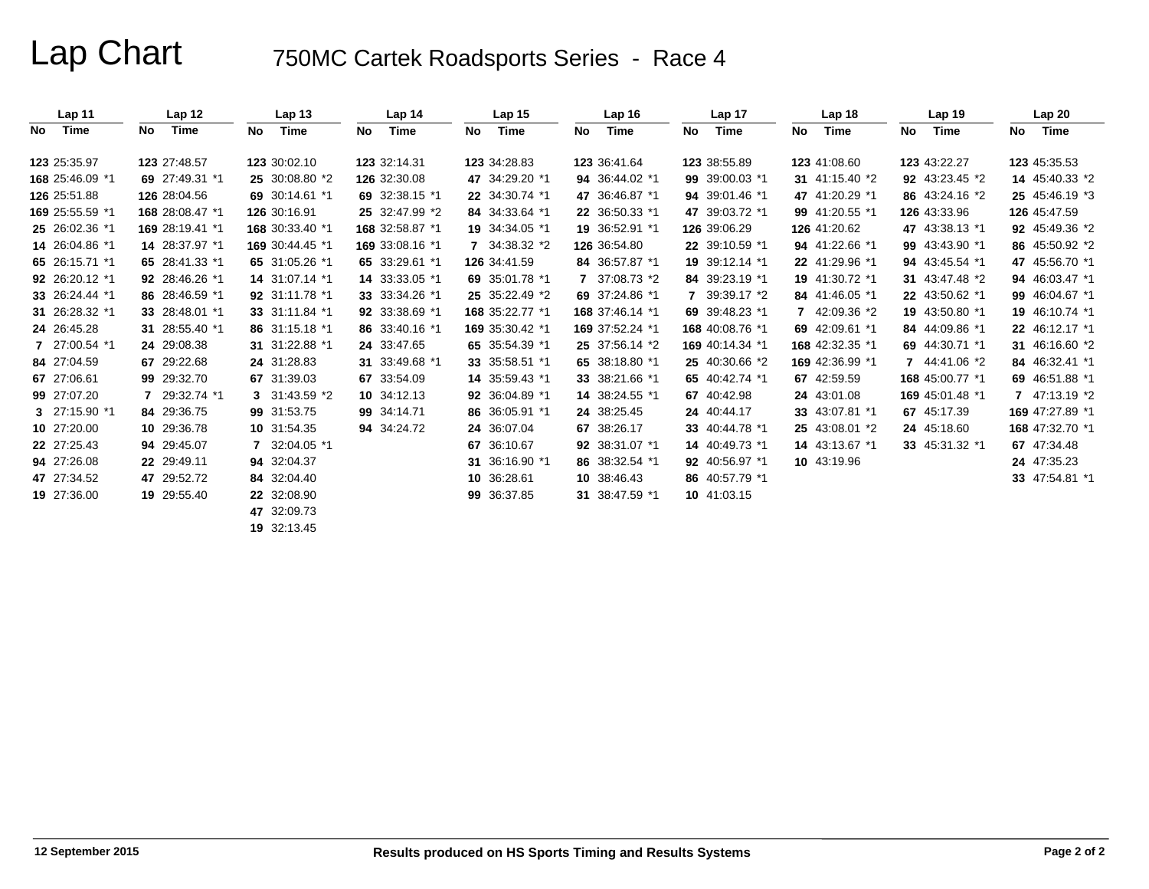# Lap Chart 750MC Cartek Roadsports Series - Race 4

|     | Lap <sub>11</sub> |    | Lap <sub>12</sub> |    | Lap <sub>13</sub> |     | Lap <sub>14</sub> |    | Lap <sub>15</sub> |     | Lap <sub>16</sub> |     | Lap 17          |    | Lap <sub>18</sub> |    | Lap <sub>19</sub> |     | Lap20           |  |
|-----|-------------------|----|-------------------|----|-------------------|-----|-------------------|----|-------------------|-----|-------------------|-----|-----------------|----|-------------------|----|-------------------|-----|-----------------|--|
| No. | Time              | No | Time              | No | Time              | No. | Time              | No | Time              | No. | Time              | No. | Time            | No | Time              | No | Time              | No. | Time            |  |
|     | 123 25:35.97      |    | 123 27:48.57      |    | 123 30:02.10      |     | 123 32:14.31      |    | 123 34:28.83      |     | 123 36:41.64      |     | 123 38:55.89    |    | 123 41:08.60      |    | 123 43:22.27      |     | 123 45:35.53    |  |
|     | 168 25:46.09 *1   |    | 69 27:49.31 *1    |    | 25 30:08.80 *2    |     | 126 32:30.08      |    | 47 34:29.20 *1    |     | 94 36:44.02 *1    |     | 99 39:00.03 *1  |    | 31 41:15.40 *2    |    | 92 43:23.45 *2    |     | 14 45:40.33 *2  |  |
|     | 126 25:51.88      |    | 126 28:04.56      |    | 69 30:14.61 *1    |     | 69 32:38.15 *1    |    | 22 34:30.74 *1    |     | 47 36:46.87 *1    |     | 94 39:01.46 *1  |    | 47 41:20.29 *1    |    | 86 43:24.16 *2    |     | 25 45:46.19 *3  |  |
|     | 169 25:55.59 *1   |    | 168 28:08.47 *1   |    | 126 30:16.91      |     | 25 32:47.99 *2    |    | 84 34:33.64 *1    |     | 22 36:50.33 *1    |     | 47 39:03.72 *1  |    | 99 41:20.55 *1    |    | 126 43:33.96      |     | 126 45:47.59    |  |
|     | 25 26:02.36 *1    |    | 169 28:19.41 *1   |    | 168 30:33.40 *1   |     | 168 32:58.87 *1   |    | 19 34:34.05 *1    |     | 19 36:52.91 *1    |     | 126 39:06.29    |    | 126 41:20.62      |    | 47 43:38.13 *1    |     | 92 45:49.36 *2  |  |
|     | 14 26:04.86 *1    |    | 14 28:37.97 *1    |    | 169 30:44.45 *1   |     | 169 33:08.16 *1   |    | 7 34:38.32 *2     |     | 126 36:54.80      |     | 22 39:10.59 *1  |    | 94 41:22.66 *1    |    | 99 43:43.90 *1    |     | 86 45:50.92 *2  |  |
|     | 65 26:15.71 *1    |    | 65 28:41.33 *1    |    | 65 31:05.26 *1    |     | 65 33:29.61 *1    |    | 126 34:41.59      |     | 84 36:57.87 *1    |     | 19 39:12.14 *1  |    | 22 41:29.96 *1    |    | 94 43:45.54 *1    |     | 47 45:56.70 *1  |  |
|     | 92 26:20.12 *1    |    | 92 28:46.26 *1    |    | 14 31:07.14 *1    |     | 14 33:33.05 *1    |    | 69 35:01.78 *1    |     | 7 37:08.73 *2     |     | 84 39:23.19 *1  |    | 19 41:30.72 *1    |    | 31 43:47.48 *2    |     | 94 46:03.47 *1  |  |
|     | 33 26:24.44 *1    |    | 86 28:46.59 *1    |    | 92 31:11.78 *1    |     | 33 33:34.26 *1    |    | 25 35:22.49 *2    |     | 69 37:24.86 *1    |     | 7 39:39.17 *2   |    | 84 41:46.05 *1    |    | 22 43:50.62 *1    |     | 99 46:04.67 *1  |  |
|     | 31 26:28.32 *1    |    | 33 28:48.01 *1    |    | 33 31:11.84 *1    |     | 92 33:38.69 *1    |    | 168 35:22.77 *1   |     | 168 37:46.14 *1   |     | 69 39:48.23 *1  |    | 7 42:09.36 *2     |    | 19 43:50.80 *1    |     | 19 46:10.74 *1  |  |
|     | 24 26:45.28       |    | 31 28:55.40 *1    |    | 86 31:15.18 *1    |     | 86 33:40.16 *1    |    | 169 35:30.42 *1   |     | 169 37:52.24 *1   |     | 168 40:08.76 *1 |    | 69 42:09.61 *1    |    | 84 44:09.86 *1    |     | 22 46:12.17 *1  |  |
|     | 7 27:00.54 *1     |    | 24 29:08.38       |    | 31 31:22.88 *1    |     | 24 33:47.65       |    | 65 35:54.39 *1    |     | 25 37:56.14 *2    |     | 169 40:14.34 *1 |    | 168 42:32.35 *1   |    | 69 44:30.71 *1    |     | 31 46:16.60 *2  |  |
|     | 84 27:04.59       |    | 67 29:22.68       |    | 24 31:28.83       |     | 31 33:49.68 *1    |    | 33 35:58.51 *1    |     | 65 38:18.80 *1    |     | 25 40:30.66 *2  |    | 169 42:36.99 *1   |    | 7 44:41.06 *2     |     | 84 46:32.41 *1  |  |
|     | 67 27:06.61       |    | 99 29:32.70       |    | 67 31:39.03       |     | 67 33:54.09       |    | 14 35:59.43 *1    |     | 33 38:21.66 *1    |     | 65 40:42.74 *1  |    | 67 42:59.59       |    | 168 45:00.77 *1   |     | 69 46:51.88 *1  |  |
|     | 99 27:07.20       |    | 7 29:32.74 *1     |    | 3 $31:43.59$ *2   |     | 10 34:12.13       |    | 92 36:04.89 *1    |     | 14 38:24.55 *1    |     | 67 40:42.98     |    | 24 43:01.08       |    | 169 45:01.48 *1   |     | 7 47:13.19 *2   |  |
|     | 3 $27:15.90$ *1   |    | 84 29:36.75       |    | 99 31:53.75       |     | 99 34:14.71       |    | 86 36:05.91 *1    |     | 24 38:25.45       |     | 24 40:44.17     |    | 33 43:07.81 *1    |    | 67 45:17.39       |     | 169 47:27.89 *1 |  |
|     | 10 27:20.00       |    | 10 29:36.78       |    | 10 31:54.35       |     | 94 34:24.72       |    | 24 36:07.04       |     | 67 38:26.17       |     | 33 40:44.78 *1  |    | 25 43:08.01 *2    |    | 24 45:18.60       |     | 168 47:32.70 *1 |  |
|     | 22 27:25.43       |    | 94 29:45.07       |    | 7 32:04.05 *1     |     |                   |    | 67 36:10.67       |     | 92 38:31.07 *1    |     | 14 40:49.73 *1  |    | 14 43:13.67 *1    |    | 33 45:31.32 *1    |     | 67 47:34.48     |  |
|     | 94 27:26.08       |    | 22 29:49.11       |    | 94 32:04.37       |     |                   |    | 31 36:16.90 *1    |     | 86 38:32.54 *1    |     | 92 40:56.97 *1  |    | 10 43:19.96       |    |                   |     | 24 47:35.23     |  |
|     | 47 27:34.52       |    | 47 29:52.72       |    | 84 32:04.40       |     |                   |    | 10 36:28.61       |     | 10 38:46.43       |     | 86 40:57.79 *1  |    |                   |    |                   |     | 33 47:54.81 *1  |  |
|     | 19 27:36.00       |    | 19 29:55.40       |    | 22 32:08.90       |     |                   |    | 99 36:37.85       |     | 31 38:47.59 *1    |     | 10 41:03.15     |    |                   |    |                   |     |                 |  |
|     |                   |    |                   |    | 47 32:09.73       |     |                   |    |                   |     |                   |     |                 |    |                   |    |                   |     |                 |  |
|     |                   |    |                   |    | 19 32:13.45       |     |                   |    |                   |     |                   |     |                 |    |                   |    |                   |     |                 |  |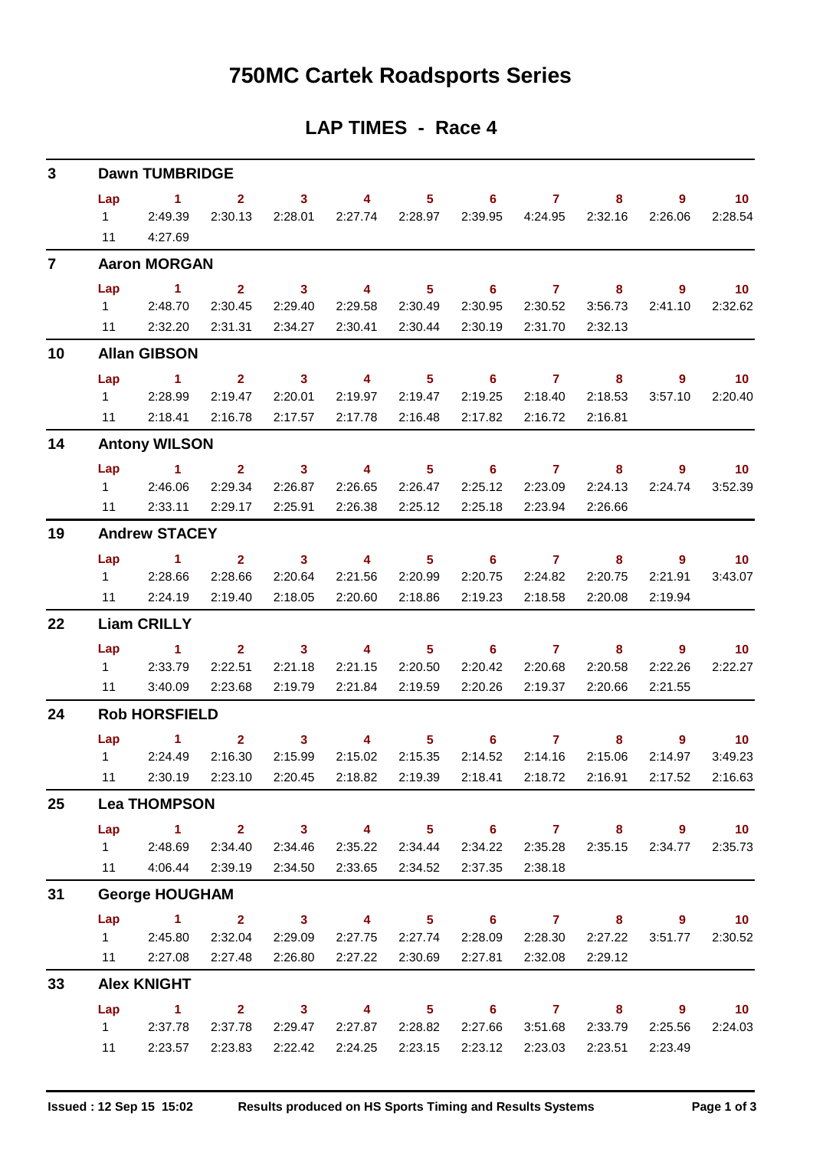# **750MC Cartek Roadsports Series**

## **LAP TIMES - Race 4**

| 3              |                             | <b>Dawn TUMBRIDGE</b>                                                                                                                                                                                                                                                |                                            |                                      |                                               |                                      |                         |                                      |                                                                |                           |                                       |
|----------------|-----------------------------|----------------------------------------------------------------------------------------------------------------------------------------------------------------------------------------------------------------------------------------------------------------------|--------------------------------------------|--------------------------------------|-----------------------------------------------|--------------------------------------|-------------------------|--------------------------------------|----------------------------------------------------------------|---------------------------|---------------------------------------|
|                | Lap<br>$1 \quad$<br>11      | $\blacktriangleleft$<br>2:49.39<br>4:27.69                                                                                                                                                                                                                           | $\mathbf{2}$<br>2:30.13                    | $\mathbf{3}$<br>2:28.01              | $\overline{4}$<br>2:27.74                     | 5 <sup>1</sup><br>2:28.97            | 6<br>2:39.95            | $\overline{7}$<br>4:24.95            | 8<br>2:32.16                                                   | 9<br>2:26.06              | 10 <sup>°</sup><br>2:28.54            |
| $\overline{7}$ |                             | <b>Aaron MORGAN</b>                                                                                                                                                                                                                                                  |                                            |                                      |                                               |                                      |                         |                                      |                                                                |                           |                                       |
|                | Lap<br>$1 \quad$<br>11      | $\mathbf{1}$<br>2:48.70<br>2:32.20                                                                                                                                                                                                                                   | 2 <sup>1</sup><br>2:30.45<br>2:31.31       | $\mathbf{3}$<br>2:29.40<br>2:34.27   | 4<br>2:29.58<br>2:30.41                       | 5 <sup>5</sup><br>2:30.49<br>2:30.44 | 6<br>2:30.95<br>2:30.19 | $\mathbf{7}$<br>2:30.52<br>2:31.70   | 8<br>3:56.73<br>2:32.13                                        | $\overline{9}$<br>2:41.10 | 10 <sup>°</sup><br>2:32.62            |
| 10             |                             | <b>Allan GIBSON</b>                                                                                                                                                                                                                                                  |                                            |                                      |                                               |                                      |                         |                                      |                                                                |                           |                                       |
|                | Lap                         | $\sim$ 1                                                                                                                                                                                                                                                             | $\overline{2}$                             | $\mathbf{3}$                         | $\overline{4}$                                | 5 <sup>1</sup>                       | 6                       | $\mathbf{7}$                         | 8                                                              | 9                         | 10                                    |
|                | $1 \quad$<br>11             | 2:28.99<br>2:18.41                                                                                                                                                                                                                                                   | 2:19.47<br>2:16.78                         | 2:20.01<br>2:17.57                   | 2:19.97<br>2:17.78                            | 2:19.47<br>2:16.48                   | 2:19.25<br>2:17.82      | 2:18.40<br>2:16.72                   | 2:18.53<br>2:16.81                                             | 3:57.10                   | 2:20.40                               |
| 14             |                             | <b>Antony WILSON</b>                                                                                                                                                                                                                                                 |                                            |                                      |                                               |                                      |                         |                                      |                                                                |                           |                                       |
|                | Lap<br>$1 \quad \Box$<br>11 | 1.<br>2:46.06<br>2:33.11                                                                                                                                                                                                                                             | $\mathbf{2}$<br>2:29.34<br>2:29.17         | $\mathbf{3}$<br>2:26.87<br>2:25.91   | $\overline{\mathbf{4}}$<br>2:26.65<br>2:26.38 | 5 <sup>1</sup><br>2:26.47<br>2:25.12 | 6<br>2:25.12<br>2:25.18 | $\mathbf{7}$<br>2:23.09<br>2:23.94   | 8<br>2:24.13<br>2:26.66                                        | 9<br>2:24.74              | 10<br>3:52.39                         |
| 19             |                             | <b>Andrew STACEY</b>                                                                                                                                                                                                                                                 |                                            |                                      |                                               |                                      |                         |                                      |                                                                |                           |                                       |
|                | Lap<br>$1 \quad$<br>11      | $\blacktriangleleft$<br>2:28.66<br>2:24.19                                                                                                                                                                                                                           | $\overline{2}$<br>2:28.66<br>2:19.40       | 3 <sup>1</sup><br>2:20.64<br>2:18.05 | 4<br>2:21.56<br>2:20.60                       | 5 <sup>1</sup><br>2:20.99<br>2:18.86 | 6<br>2:20.75<br>2:19.23 | $\overline{7}$<br>2:24.82<br>2:18.58 | 8<br>2:20.75<br>2:20.08                                        | 9<br>2:21.91<br>2:19.94   | 10 <sup>°</sup><br>3:43.07            |
| 22             |                             | <b>Liam CRILLY</b>                                                                                                                                                                                                                                                   |                                            |                                      |                                               |                                      |                         |                                      |                                                                |                           |                                       |
|                | Lap<br>$1 \quad$<br>11      | 1.<br>2:33.79<br>3:40.09                                                                                                                                                                                                                                             | $\mathbf{2}$<br>2:22.51<br>2:23.68         | $\mathbf{3}$<br>2:21.18<br>2:19.79   | 4<br>2:21.15<br>2:21.84                       | 5 <sup>1</sup><br>2:20.50<br>2:19.59 | 6<br>2:20.42<br>2:20.26 | $\overline{7}$<br>2:20.68<br>2:19.37 | 8<br>2:20.58<br>2:20.66                                        | 9<br>2:22.26<br>2:21.55   | 10 <sup>°</sup><br>2:22.27            |
| 24             |                             | <b>Rob HORSFIELD</b>                                                                                                                                                                                                                                                 |                                            |                                      |                                               |                                      |                         |                                      |                                                                |                           |                                       |
|                | Lap<br>$1 \quad \Box$<br>11 | $\mathbf{1}$<br>2:24.49                                                                                                                                                                                                                                              | $\mathbf{2}$<br>2:16.30<br>2:30.19 2:23.10 | 3<br>2:15.99<br>2:20.45              | 4<br>2:15.02<br>2:18.82                       | 5<br>2:15.35<br>2:19.39              | 6<br>2:14.52            | 7<br>2:14.16<br>2:18.41 2:18.72      | 8<br>2:15.06<br>2:16.91                                        | 9<br>2:14.97<br>2:17.52   | 10 <sup>°</sup><br>3:49.23<br>2:16.63 |
| 25             |                             | <b>Lea THOMPSON</b>                                                                                                                                                                                                                                                  |                                            |                                      |                                               |                                      |                         |                                      |                                                                |                           |                                       |
|                |                             | Lap 1 2 3 4 5 6 7 8 9 10<br>1 2:48.69<br>11 4:06.44 2:39.19                                                                                                                                                                                                          | 2:34.40                                    | 2:34.46<br>2:34.50                   | 2:33.65                                       | 2:35.22 2:34.44<br>2:34.52           | 2:37.35                 | 2:34.22 2:35.28<br>2:38.18           | 2:35.15                                                        | 2:34.77                   | 2:35.73                               |
| 31             |                             | <b>George HOUGHAM</b>                                                                                                                                                                                                                                                |                                            |                                      |                                               |                                      |                         |                                      |                                                                |                           |                                       |
|                | Lap<br>11                   | <b>Contract of the Contract of the Contract of the Contract of the Contract of the Contract of the Contract of the Contract of the Contract of the Contract of the Contract of the Contract of the Contract of the Contract of t</b><br>1 2:45.80 2:32.04<br>2:27.08 | 2:27.48                                    | $2 \t 3$<br>2:29.09<br>2:26.80       | $\overline{4}$<br>2:27.22                     | 2:27.75 2:27.74<br>2:30.69           | 2:27.81                 | 2:32.08                              | $5 \t\t 6 \t\t 7 \t\t 8$<br>2:28.09 2:28.30 2:27.22<br>2:29.12 | 3:51.77                   | $9 \t 10$<br>2:30.52                  |
| 33             |                             | <b>Alex KNIGHT</b>                                                                                                                                                                                                                                                   |                                            |                                      |                                               |                                      |                         |                                      |                                                                |                           |                                       |
|                | 11                          | $Lap$ 1<br>1 2:37.78<br>2:23.57                                                                                                                                                                                                                                      | 2:37.78<br>2:23.83                         | 2:29.47<br>2:22.42                   | $2 \qquad 3 \qquad 4$<br>2:27.87<br>2:24.25   | 2:28.82<br>2:23.15                   | 2:27.66<br>2:23.12      | 3:51.68<br>2:23.03                   | 5 6 7 8 9<br>2:33.79<br>2:23.51                                | 2:25.56<br>2:23.49        | $\overline{10}$<br>2:24.03            |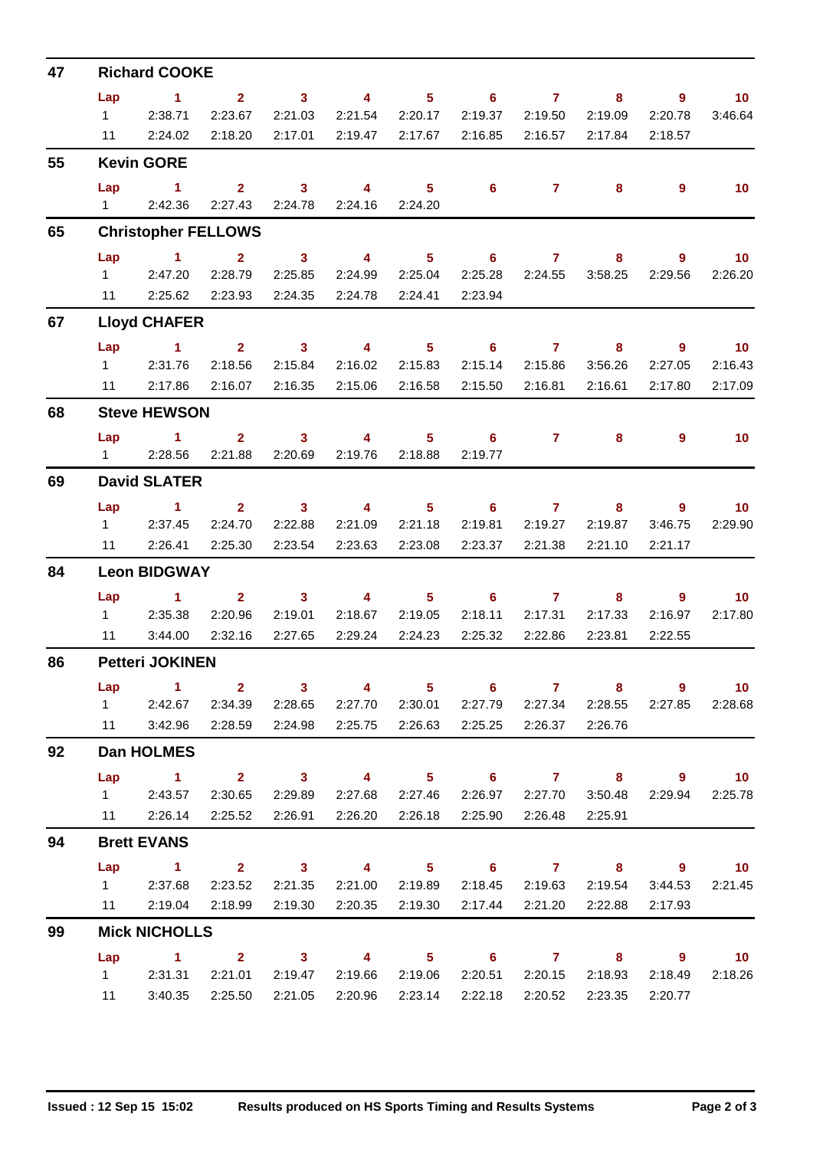| 47 |                | <b>Richard COOKE</b>                                                                                                  |                     |                            |                          |                            |                            |                            |                    |                         |                 |
|----|----------------|-----------------------------------------------------------------------------------------------------------------------|---------------------|----------------------------|--------------------------|----------------------------|----------------------------|----------------------------|--------------------|-------------------------|-----------------|
|    | Lap            | $\sim$ 1                                                                                                              | 2 <sup>7</sup>      | 3 <sup>7</sup>             | $\overline{\mathbf{4}}$  | 5                          | $6\phantom{1}$             | $\mathbf{7}$               | 8                  | 9                       | 10 <sup>°</sup> |
|    | $1 \quad \Box$ | 2:38.71                                                                                                               | 2:23.67             | 2:21.03                    | 2:21.54                  | 2:20.17                    | 2:19.37                    | 2:19.50                    | 2:19.09            | 2:20.78                 | 3:46.64         |
|    | 11             | 2:24.02                                                                                                               | 2:18.20             | 2:17.01                    | 2:19.47                  | 2:17.67                    | 2:16.85                    | 2:16.57                    | 2:17.84            | 2:18.57                 |                 |
| 55 |                | <b>Kevin GORE</b>                                                                                                     |                     |                            |                          |                            |                            |                            |                    |                         |                 |
|    | Lap            | $\sim$ 1                                                                                                              | 2 <sup>1</sup>      | 3 <sup>1</sup>             | 4                        | 5 <sup>1</sup>             | $6\phantom{1}$             | $\mathbf{7}$               | 8                  | 9                       | 10 <sup>°</sup> |
|    |                | 1 2:42.36                                                                                                             | 2:27.43             | 2:24.78                    |                          | 2:24.16 2:24.20            |                            |                            |                    |                         |                 |
| 65 |                | <b>Christopher FELLOWS</b>                                                                                            |                     |                            |                          |                            |                            |                            |                    |                         |                 |
|    | Lap            | $\sim$ 1                                                                                                              | $\mathbf{2}$        | $\overline{\mathbf{3}}$    | $\overline{4}$           | 5 <sup>1</sup>             | $\overline{\phantom{0}}$ 6 | $\overline{7}$             | 8                  | $\overline{9}$          | 10              |
|    | $1 \quad \Box$ | 2:47.20                                                                                                               | 2:28.79             | 2:25.85                    | 2:24.99                  | 2:25.04                    | 2:25.28                    | 2:24.55                    | 3:58.25            | 2:29.56                 | 2:26.20         |
|    | 11             | 2:25.62                                                                                                               | 2:23.93             | 2:24.35                    | 2:24.78                  | 2:24.41                    | 2:23.94                    |                            |                    |                         |                 |
| 67 |                | <b>Lloyd CHAFER</b>                                                                                                   |                     |                            |                          |                            |                            |                            |                    |                         |                 |
|    | Lap            | $\sim$ $\sim$ 1                                                                                                       | $\overline{2}$      | $\overline{\mathbf{3}}$    | $\overline{\mathbf{4}}$  | 5 <sub>1</sub>             | $6 -$                      | $\overline{7}$             | 8                  | $\overline{9}$          | 10              |
|    | $1 \quad \Box$ | 2:31.76                                                                                                               | 2:18.56             | 2:15.84                    | 2:16.02                  | 2:15.83                    | 2:15.14                    | 2:15.86                    | 3:56.26            | 2:27.05                 | 2:16.43         |
|    |                | 11 2:17.86                                                                                                            | 2:16.07             | 2:16.35                    | 2:15.06                  | 2:16.58                    | 2:15.50                    | 2:16.81                    | 2:16.61            | 2:17.80                 | 2:17.09         |
| 68 |                | <b>Steve HEWSON</b>                                                                                                   |                     |                            |                          |                            |                            |                            |                    |                         |                 |
|    | Lap            | <b>Contract Advised Advised Advised Advised Advised Advised Advised Advised Advised Advised Advised Advised Advis</b> | $2^{\circ}$         | $\overline{\mathbf{3}}$    | $\overline{4}$           | $5 -$                      | $\overline{\phantom{0}}$ 6 | $\mathbf{7}$               | 8                  | 9                       | 10              |
|    | $1 \quad \Box$ | 2:28.56                                                                                                               | 2:21.88             | 2:20.69                    | 2:19.76                  | 2:18.88                    | 2:19.77                    |                            |                    |                         |                 |
| 69 |                | <b>David SLATER</b>                                                                                                   |                     |                            |                          |                            |                            |                            |                    |                         |                 |
|    | Lap            | $\sim$ 1                                                                                                              | $\overline{2}$      | $\overline{\mathbf{3}}$    | $\overline{4}$           | 5 <sub>1</sub>             | $\overline{\phantom{0}}$ 6 | $\mathbf{7}$               | 8                  | 9                       | 10              |
|    | $1 \quad \Box$ | 2:37.45                                                                                                               | 2:24.70             | 2:22.88                    | 2:21.09                  | 2:21.18                    | 2:19.81                    | 2:19.27                    | 2:19.87            | 3:46.75                 | 2:29.90         |
|    | 11             | 2:26.41                                                                                                               | 2:25.30             | 2:23.54                    | 2:23.63                  | 2:23.08                    | 2:23.37                    | 2:21.38                    | 2:21.10            | 2:21.17                 |                 |
| 84 |                | <b>Leon BIDGWAY</b>                                                                                                   |                     |                            |                          |                            |                            |                            |                    |                         |                 |
|    | Lap            | $\sim$ 1                                                                                                              | $\overline{2}$      | 3 <sup>1</sup>             | $\overline{4}$           | 5 <sup>1</sup>             | 6                          | $\overline{7}$             | 8                  | $\overline{9}$          | 10 <sup>°</sup> |
|    |                | 1 2:35.38                                                                                                             | 2:20.96             | 2:19.01                    | 2:18.67                  | 2:19.05                    | 2:18.11                    | 2:17.31                    | 2:17.33            | 2:16.97                 | 2:17.80         |
|    | 11             | 3:44.00                                                                                                               | 2:32.16             | 2:27.65                    | 2:29.24                  | 2:24.23                    | 2:25.32                    | 2:22.86                    | 2:23.81            | 2:22.55                 |                 |
| 86 |                | <b>Petteri JOKINEN</b>                                                                                                |                     |                            |                          |                            |                            |                            |                    |                         |                 |
|    | Lap            | $\blacktriangleleft$                                                                                                  |                     | $2 \t 3$                   | $\overline{4}$           | 5 <sub>1</sub>             | 6                          | $\overline{7}$             | 8                  | $\overline{9}$          | 10 <sup>°</sup> |
|    | 11             | 1 2:42.67<br>3:42.96                                                                                                  | 2:28.59             | 2:34.39 2:28.65<br>2:24.98 | 2:25.75                  | 2:27.70 2:30.01<br>2:26.63 | 2:25.25                    | 2:27.79 2:27.34<br>2:26.37 | 2:28.55<br>2:26.76 | 2:27.85                 | 2:28.68         |
|    |                |                                                                                                                       |                     |                            |                          |                            |                            |                            |                    |                         |                 |
| 92 |                | <b>Dan HOLMES</b>                                                                                                     |                     |                            |                          |                            |                            |                            |                    |                         |                 |
|    |                | Lap 1<br>1 2:43.57                                                                                                    |                     |                            | $2 \t 3 \t 4$<br>2:27.68 | 2:27.46                    |                            |                            |                    | 5 6 7 8 9 10            |                 |
|    |                | 11 2:26.14                                                                                                            | 2:30.65<br>2:25.52  | 2:29.89<br>2:26.91         | 2:26.20                  | 2:26.18                    | 2:26.97                    | 2:27.70<br>2:25.90 2:26.48 | 3:50.48<br>2:25.91 | 2:29.94                 | 2:25.78         |
|    |                |                                                                                                                       |                     |                            |                          |                            |                            |                            |                    |                         |                 |
| 94 |                | <b>Brett EVANS</b>                                                                                                    |                     |                            |                          |                            |                            |                            |                    |                         |                 |
|    | Lap            | $\sim$ $\sim$ 1.<br>1 2:37.68                                                                                         | $2 \t 3$<br>2:23.52 | 2:21.35                    | $\sim$ 4<br>2:21.00      | 2:19.89                    |                            | 2:18.45 2:19.63            | 2:19.54            | 5 6 7 8 9 10<br>3:44.53 | 2:21.45         |
|    |                | 11 2:19.04                                                                                                            | 2:18.99             | 2:19.30                    | 2:20.35                  | 2:19.30                    | 2:17.44                    | 2:21.20                    | 2:22.88            | 2:17.93                 |                 |
| 99 |                | <b>Mick NICHOLLS</b>                                                                                                  |                     |                            |                          |                            |                            |                            |                    |                         |                 |
|    | Lap            | $1 \t 2 \t 3$                                                                                                         |                     |                            |                          |                            | 4 5 6 7 8 9                |                            |                    |                         | $\overline{10}$ |
|    |                | 1 2:31.31                                                                                                             | 2:21.01             | 2:19.47                    | 2:19.66                  | 2:19.06                    | 2:20.51                    | 2:20.15                    | 2:18.93            | 2:18.49                 | 2:18.26         |
|    | 11             | 3:40.35                                                                                                               | 2:25.50             | 2:21.05                    | 2:20.96                  | 2:23.14                    | 2:22.18                    | 2:20.52                    | 2:23.35            | 2:20.77                 |                 |